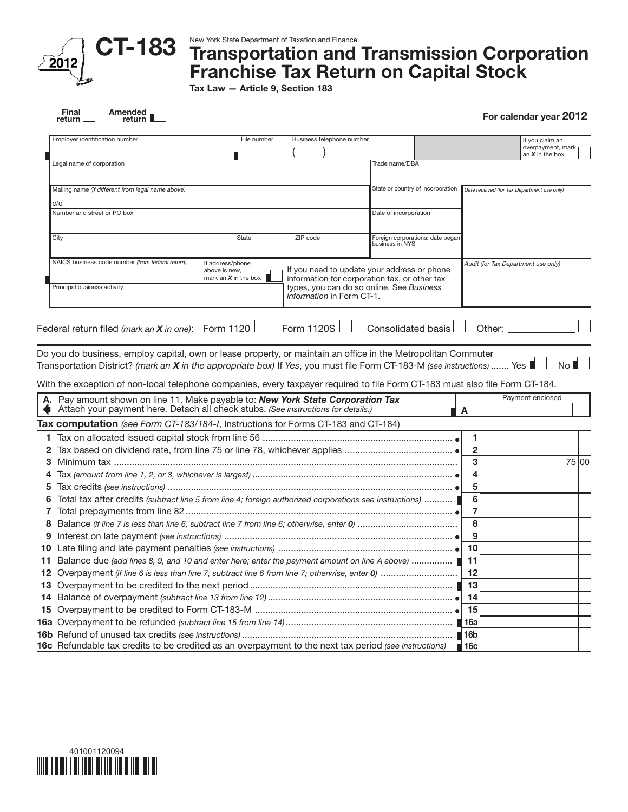

#### New York State Department of Taxation and Finance

# Transportation and Transmission Corporation Franchise Tax Return on Capital Stock

Tax Law — Article 9, Section 183

| Amended _<br>Final<br>return l<br>return                                                                                                                                                                                                                                                                |                                                                          |                           |                                                                                                                                           | For calendar year 2012                                    |       |
|---------------------------------------------------------------------------------------------------------------------------------------------------------------------------------------------------------------------------------------------------------------------------------------------------------|--------------------------------------------------------------------------|---------------------------|-------------------------------------------------------------------------------------------------------------------------------------------|-----------------------------------------------------------|-------|
| Employer identification number                                                                                                                                                                                                                                                                          | File number                                                              | Business telephone number |                                                                                                                                           | If you claim an<br>overpayment, mark<br>an $X$ in the box |       |
| Legal name of corporation                                                                                                                                                                                                                                                                               |                                                                          |                           | Trade name/DBA                                                                                                                            |                                                           |       |
| Mailing name (if different from legal name above)                                                                                                                                                                                                                                                       |                                                                          |                           | State or country of incorporation                                                                                                         | Date received (for Tax Department use only)               |       |
| c/o                                                                                                                                                                                                                                                                                                     |                                                                          |                           |                                                                                                                                           |                                                           |       |
| Number and street or PO box                                                                                                                                                                                                                                                                             |                                                                          |                           | Date of incorporation                                                                                                                     |                                                           |       |
| City                                                                                                                                                                                                                                                                                                    | State                                                                    | ZIP code                  | Foreign corporations: date began<br>business in NYS                                                                                       |                                                           |       |
| NAICS business code number (from federal return)<br>Principal business activity                                                                                                                                                                                                                         | If address/phone<br>above is new,<br>mark an $\boldsymbol{X}$ in the box | information in Form CT-1. | If you need to update your address or phone<br>information for corporation tax, or other tax<br>types, you can do so online. See Business | Audit (for Tax Department use only)                       |       |
| Federal return filed (mark an <b>X</b> in one): Form 1120                                                                                                                                                                                                                                               |                                                                          | Form 1120S                | Consolidated basis                                                                                                                        | Other:                                                    |       |
| With the exception of non-local telephone companies, every taxpayer required to file Form CT-183 must also file Form CT-184.<br>Pay amount shown on line 11. Make payable to: New York State Corporation Tax<br>А.<br>Attach your payment here. Detach all check stubs. (See instructions for details.) |                                                                          |                           |                                                                                                                                           | Payment enclosed<br>A                                     |       |
| Tax computation (see Form CT-183/184-I, Instructions for Forms CT-183 and CT-184)                                                                                                                                                                                                                       |                                                                          |                           |                                                                                                                                           |                                                           |       |
|                                                                                                                                                                                                                                                                                                         |                                                                          |                           |                                                                                                                                           | 1                                                         |       |
| 2                                                                                                                                                                                                                                                                                                       |                                                                          |                           |                                                                                                                                           | $\overline{\mathbf{c}}$                                   |       |
| з                                                                                                                                                                                                                                                                                                       |                                                                          |                           |                                                                                                                                           | 3                                                         | 75 00 |
|                                                                                                                                                                                                                                                                                                         |                                                                          |                           |                                                                                                                                           | 4                                                         |       |
|                                                                                                                                                                                                                                                                                                         |                                                                          |                           |                                                                                                                                           | 5                                                         |       |
| Total tax after credits (subtract line 5 from line 4; foreign authorized corporations see instructions)                                                                                                                                                                                                 |                                                                          |                           |                                                                                                                                           | 6                                                         |       |
| 7                                                                                                                                                                                                                                                                                                       |                                                                          |                           |                                                                                                                                           | 7                                                         |       |
| 8                                                                                                                                                                                                                                                                                                       |                                                                          |                           |                                                                                                                                           | 8                                                         |       |
| 9                                                                                                                                                                                                                                                                                                       |                                                                          |                           |                                                                                                                                           | 9                                                         |       |
| 10                                                                                                                                                                                                                                                                                                      |                                                                          |                           |                                                                                                                                           |                                                           |       |
| Balance due (add lines 8, 9, and 10 and enter here; enter the payment amount on line A above)  ■ 11<br>11.                                                                                                                                                                                              |                                                                          |                           |                                                                                                                                           |                                                           |       |
|                                                                                                                                                                                                                                                                                                         |                                                                          |                           |                                                                                                                                           | 12                                                        |       |
|                                                                                                                                                                                                                                                                                                         |                                                                          |                           |                                                                                                                                           | 13                                                        |       |
| 14                                                                                                                                                                                                                                                                                                      |                                                                          |                           |                                                                                                                                           | 14                                                        |       |
| 15                                                                                                                                                                                                                                                                                                      |                                                                          |                           |                                                                                                                                           | 15                                                        |       |
|                                                                                                                                                                                                                                                                                                         |                                                                          |                           |                                                                                                                                           | 16a                                                       |       |
|                                                                                                                                                                                                                                                                                                         |                                                                          |                           |                                                                                                                                           | 16b                                                       |       |
| 16c Refundable tax credits to be credited as an overpayment to the next tax period (see instructions)                                                                                                                                                                                                   |                                                                          |                           |                                                                                                                                           | $\blacksquare$ 16c                                        |       |

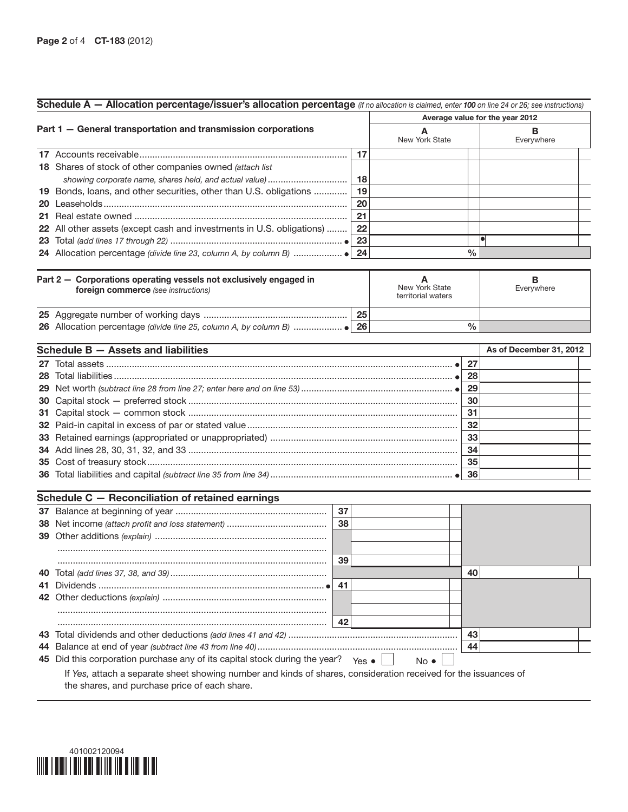|     | Schedule A - Allocation percentage/issuer's allocation percentage (if no allocation is claimed, enter 100 on line 24 or 26; see instructions) |    |    |                                      |               |                                 |
|-----|-----------------------------------------------------------------------------------------------------------------------------------------------|----|----|--------------------------------------|---------------|---------------------------------|
|     |                                                                                                                                               |    |    |                                      |               | Average value for the year 2012 |
|     | Part 1 - General transportation and transmission corporations                                                                                 |    |    | A<br>New York State                  |               | В<br>Everywhere                 |
|     |                                                                                                                                               |    | 17 |                                      |               |                                 |
|     | 18 Shares of stock of other companies owned (attach list                                                                                      |    |    |                                      |               |                                 |
|     | showing corporate name, shares held, and actual value)                                                                                        |    | 18 |                                      |               |                                 |
|     | 19 Bonds, loans, and other securities, other than U.S. obligations                                                                            |    | 19 |                                      |               |                                 |
| 20  |                                                                                                                                               |    | 20 |                                      |               |                                 |
|     |                                                                                                                                               |    | 21 |                                      |               |                                 |
|     | 22 All other assets (except cash and investments in U.S. obligations)                                                                         |    | 22 |                                      |               |                                 |
|     |                                                                                                                                               |    | 23 |                                      |               |                                 |
|     |                                                                                                                                               |    | 24 |                                      | $\frac{0}{0}$ |                                 |
|     | Part 2 - Corporations operating vessels not exclusively engaged in<br>foreign commerce (see instructions)                                     |    |    | New York State<br>territorial waters |               | в<br>Everywhere                 |
|     |                                                                                                                                               |    | 25 |                                      |               |                                 |
|     |                                                                                                                                               |    |    |                                      | $\frac{0}{0}$ |                                 |
|     | Schedule B - Assets and liabilities                                                                                                           |    |    |                                      |               | As of December 31, 2012         |
|     |                                                                                                                                               |    |    |                                      | 27            |                                 |
| 28  |                                                                                                                                               |    |    |                                      | 28            |                                 |
|     |                                                                                                                                               |    |    |                                      | 29            |                                 |
|     |                                                                                                                                               |    |    |                                      | 30            |                                 |
|     |                                                                                                                                               |    |    |                                      | 31            |                                 |
|     |                                                                                                                                               |    |    |                                      | 32            |                                 |
|     |                                                                                                                                               |    |    |                                      | 33            |                                 |
|     |                                                                                                                                               |    |    |                                      | 34            |                                 |
|     |                                                                                                                                               |    |    |                                      | 35            |                                 |
|     |                                                                                                                                               |    |    |                                      | 36            |                                 |
|     |                                                                                                                                               |    |    |                                      |               |                                 |
|     | Schedule C - Reconciliation of retained earnings                                                                                              | 37 |    |                                      |               |                                 |
|     |                                                                                                                                               | 38 |    |                                      |               |                                 |
| 39  |                                                                                                                                               |    |    |                                      |               |                                 |
|     |                                                                                                                                               |    |    |                                      |               |                                 |
|     |                                                                                                                                               | 39 |    |                                      |               |                                 |
| 40. |                                                                                                                                               |    |    |                                      | 40            |                                 |
| 41  |                                                                                                                                               | 41 |    |                                      |               |                                 |
|     |                                                                                                                                               |    |    |                                      |               |                                 |
|     |                                                                                                                                               |    |    |                                      |               |                                 |
|     |                                                                                                                                               | 42 |    |                                      |               |                                 |
|     |                                                                                                                                               |    |    |                                      | 43            |                                 |

**45** Did this corporation purchase any of its capital stock during the year?  $\gamma_{\text{es}} \bullet$   $\Box$  No If *Yes,* attach a separate sheet showing number and kinds of shares, consideration received for the issuances of the shares, and purchase price of each share.

44 Balance at end of year *(subtract line 43 from line 40)*.............................................................................. 44

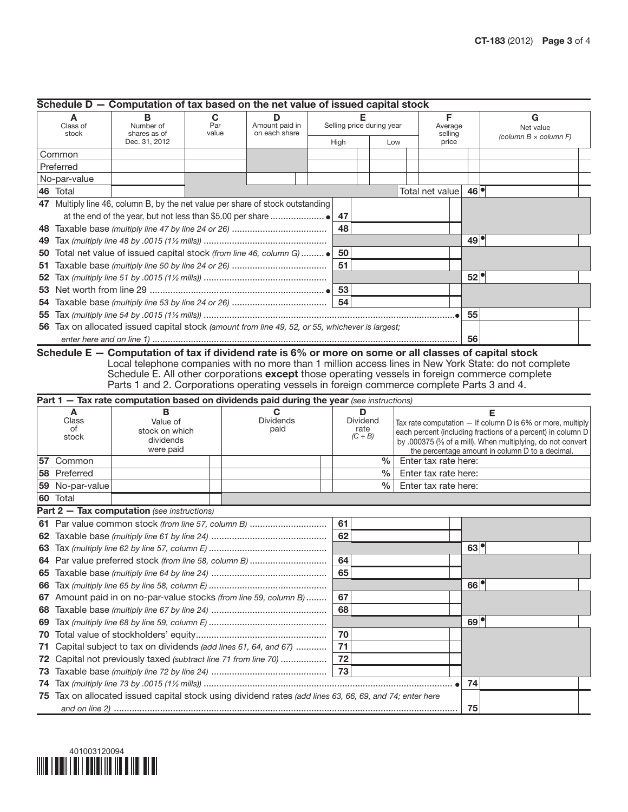|    | Schedule D - Computation of tax based on the net value of issued capital stock |                                                                                                                                                                                                                                                                                         |                   |  |                                 |  |      |                                       |               |  |                                       |                   |                                                                                                                                                                                                                                                 |  |
|----|--------------------------------------------------------------------------------|-----------------------------------------------------------------------------------------------------------------------------------------------------------------------------------------------------------------------------------------------------------------------------------------|-------------------|--|---------------------------------|--|------|---------------------------------------|---------------|--|---------------------------------------|-------------------|-------------------------------------------------------------------------------------------------------------------------------------------------------------------------------------------------------------------------------------------------|--|
|    | A<br>Class of<br>stock                                                         | в<br>Number of<br>shares as of<br>Dec. 31, 2012                                                                                                                                                                                                                                         | C<br>Par<br>value |  | Amount paid in<br>on each share |  | High | Selling price during year             | Low           |  | F<br>Average<br>selling<br>price      |                   | G<br>Net value<br>(column $B \times$ column F)                                                                                                                                                                                                  |  |
|    | Common                                                                         |                                                                                                                                                                                                                                                                                         |                   |  |                                 |  |      |                                       |               |  |                                       |                   |                                                                                                                                                                                                                                                 |  |
|    | Preferred                                                                      |                                                                                                                                                                                                                                                                                         |                   |  |                                 |  |      |                                       |               |  |                                       |                   |                                                                                                                                                                                                                                                 |  |
|    | No-par-value                                                                   |                                                                                                                                                                                                                                                                                         |                   |  |                                 |  |      |                                       |               |  |                                       |                   |                                                                                                                                                                                                                                                 |  |
|    | 46 Total                                                                       |                                                                                                                                                                                                                                                                                         |                   |  |                                 |  |      |                                       |               |  | Total net value                       | 46                |                                                                                                                                                                                                                                                 |  |
|    | 47 Multiply line 46, column B, by the net value per share of stock outstanding |                                                                                                                                                                                                                                                                                         |                   |  |                                 |  |      |                                       |               |  |                                       |                   |                                                                                                                                                                                                                                                 |  |
|    |                                                                                |                                                                                                                                                                                                                                                                                         |                   |  |                                 |  | 47   |                                       |               |  |                                       |                   |                                                                                                                                                                                                                                                 |  |
|    |                                                                                |                                                                                                                                                                                                                                                                                         |                   |  |                                 |  | 48   |                                       |               |  |                                       |                   |                                                                                                                                                                                                                                                 |  |
| 49 |                                                                                |                                                                                                                                                                                                                                                                                         |                   |  |                                 |  |      |                                       |               |  |                                       | 49                |                                                                                                                                                                                                                                                 |  |
| 50 |                                                                                | Total net value of issued capital stock (from line 46, column G)                                                                                                                                                                                                                        |                   |  |                                 |  | 50   |                                       |               |  |                                       |                   |                                                                                                                                                                                                                                                 |  |
| 51 |                                                                                |                                                                                                                                                                                                                                                                                         |                   |  |                                 |  | 51   |                                       |               |  |                                       |                   |                                                                                                                                                                                                                                                 |  |
| 52 |                                                                                |                                                                                                                                                                                                                                                                                         |                   |  |                                 |  |      |                                       |               |  |                                       | 52                |                                                                                                                                                                                                                                                 |  |
| 53 |                                                                                |                                                                                                                                                                                                                                                                                         |                   |  |                                 |  |      |                                       |               |  |                                       |                   |                                                                                                                                                                                                                                                 |  |
| 54 |                                                                                |                                                                                                                                                                                                                                                                                         |                   |  |                                 |  |      |                                       |               |  |                                       |                   |                                                                                                                                                                                                                                                 |  |
| 55 |                                                                                |                                                                                                                                                                                                                                                                                         |                   |  |                                 |  |      |                                       |               |  |                                       | 55                |                                                                                                                                                                                                                                                 |  |
|    |                                                                                | 56 Tax on allocated issued capital stock (amount from line 49, 52, or 55, whichever is largest;                                                                                                                                                                                         |                   |  |                                 |  |      |                                       |               |  |                                       |                   |                                                                                                                                                                                                                                                 |  |
|    |                                                                                | Schedule E - Computation of tax if dividend rate is 6% or more on some or all classes of capital stock                                                                                                                                                                                  |                   |  |                                 |  |      |                                       |               |  |                                       | 56                |                                                                                                                                                                                                                                                 |  |
|    |                                                                                | Schedule E. All other corporations except those operating vessels in foreign commerce complete<br>Parts 1 and 2. Corporations operating vessels in foreign commerce complete Parts 3 and 4.<br>Part 1 - Tax rate computation based on dividends paid during the year (see instructions) |                   |  |                                 |  |      |                                       |               |  |                                       |                   | Local telephone companies with no more than 1 million access lines in New York State: do not complete                                                                                                                                           |  |
|    | A<br>Class<br>of<br>stock                                                      | В<br>Value of<br>stock on which<br>dividends<br>were paid                                                                                                                                                                                                                               |                   |  | C<br><b>Dividends</b><br>paid   |  |      | D<br>Dividend<br>rate<br>$(C \div B)$ |               |  |                                       |                   | Е<br>Tax rate computation - If column D is 6% or more, multiply<br>each percent (including fractions of a percent) in column D<br>by .000375 (% of a mill). When multiplying, do not convert<br>the percentage amount in column D to a decimal. |  |
|    | 57 Common                                                                      |                                                                                                                                                                                                                                                                                         |                   |  |                                 |  |      |                                       | $\frac{0}{0}$ |  | Enter tax rate here:                  |                   |                                                                                                                                                                                                                                                 |  |
|    | 58 Preferred                                                                   |                                                                                                                                                                                                                                                                                         |                   |  |                                 |  |      |                                       |               |  | $\frac{0}{0}$<br>Enter tax rate here: |                   |                                                                                                                                                                                                                                                 |  |
|    | 59 No-par-value                                                                |                                                                                                                                                                                                                                                                                         |                   |  |                                 |  |      |                                       |               |  |                                       |                   |                                                                                                                                                                                                                                                 |  |
|    |                                                                                | 60 Total                                                                                                                                                                                                                                                                                |                   |  |                                 |  |      |                                       |               |  | Enter tax rate here:                  |                   |                                                                                                                                                                                                                                                 |  |
|    |                                                                                |                                                                                                                                                                                                                                                                                         |                   |  |                                 |  |      |                                       | $\frac{0}{0}$ |  |                                       |                   |                                                                                                                                                                                                                                                 |  |
|    |                                                                                | Part 2 - Tax computation (see instructions)                                                                                                                                                                                                                                             |                   |  |                                 |  |      |                                       |               |  |                                       |                   |                                                                                                                                                                                                                                                 |  |
|    |                                                                                | 61 Par value common stock (from line 57, column B)                                                                                                                                                                                                                                      |                   |  |                                 |  | 61   |                                       |               |  |                                       |                   |                                                                                                                                                                                                                                                 |  |
|    |                                                                                |                                                                                                                                                                                                                                                                                         |                   |  |                                 |  | 62   |                                       |               |  |                                       |                   |                                                                                                                                                                                                                                                 |  |
|    |                                                                                |                                                                                                                                                                                                                                                                                         |                   |  |                                 |  |      |                                       |               |  |                                       | 63 <sup>°</sup>   |                                                                                                                                                                                                                                                 |  |
|    |                                                                                | 64 Par value preferred stock (from line 58, column B)                                                                                                                                                                                                                                   |                   |  |                                 |  | 64   |                                       |               |  |                                       |                   |                                                                                                                                                                                                                                                 |  |
|    |                                                                                |                                                                                                                                                                                                                                                                                         |                   |  |                                 |  | 65   |                                       |               |  |                                       |                   |                                                                                                                                                                                                                                                 |  |
| 66 |                                                                                |                                                                                                                                                                                                                                                                                         |                   |  |                                 |  |      |                                       |               |  |                                       | 66                |                                                                                                                                                                                                                                                 |  |
|    |                                                                                | 67 Amount paid in on no-par-value stocks (from line 59, column B)                                                                                                                                                                                                                       |                   |  |                                 |  | 67   |                                       |               |  |                                       |                   |                                                                                                                                                                                                                                                 |  |
| 68 |                                                                                |                                                                                                                                                                                                                                                                                         |                   |  |                                 |  | 68   |                                       |               |  |                                       |                   |                                                                                                                                                                                                                                                 |  |
| 69 |                                                                                |                                                                                                                                                                                                                                                                                         |                   |  |                                 |  |      |                                       |               |  |                                       | $69$ <sup>o</sup> |                                                                                                                                                                                                                                                 |  |
| 70 |                                                                                |                                                                                                                                                                                                                                                                                         |                   |  |                                 |  | 70   |                                       |               |  |                                       |                   |                                                                                                                                                                                                                                                 |  |
| 71 |                                                                                | Capital subject to tax on dividends (add lines 61, 64, and 67)                                                                                                                                                                                                                          |                   |  |                                 |  | 71   |                                       |               |  |                                       |                   |                                                                                                                                                                                                                                                 |  |
| 72 |                                                                                | Capital not previously taxed (subtract line 71 from line 70)                                                                                                                                                                                                                            |                   |  |                                 |  | 72   |                                       |               |  |                                       |                   |                                                                                                                                                                                                                                                 |  |
| 73 |                                                                                |                                                                                                                                                                                                                                                                                         |                   |  |                                 |  | 73   |                                       |               |  |                                       |                   |                                                                                                                                                                                                                                                 |  |
| 74 |                                                                                | 75 Tax on allocated issued capital stock using dividend rates (add lines 63, 66, 69, and 74; enter here                                                                                                                                                                                 |                   |  |                                 |  |      |                                       |               |  |                                       | 74                |                                                                                                                                                                                                                                                 |  |